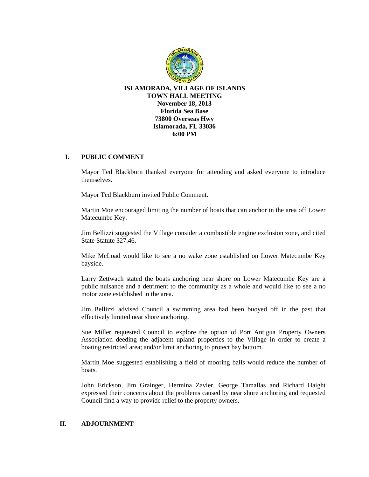

## **I. PUBLIC COMMENT**

Mayor Ted Blackburn thanked everyone for attending and asked everyone to introduce themselves.

Mayor Ted Blackburn invited Public Comment.

Martin Moe encouraged limiting the number of boats that can anchor in the area off Lower Matecumbe Key.

Jim Bellizzi suggested the Village consider a combustible engine exclusion zone, and cited State Statute 327.46.

Mike McLoad would like to see a no wake zone established on Lower Matecumbe Key bayside.

Larry Zettwach stated the boats anchoring near shore on Lower Matecumbe Key are a public nuisance and a detriment to the community as a whole and would like to see a no motor zone established in the area.

Jim Bellizzi advised Council a swimming area had been buoyed off in the past that effectively limited near shore anchoring.

Sue Miller requested Council to explore the option of Port Antigua Property Owners Association deeding the adjacent upland properties to the Village in order to create a boating restricted area; and/or limit anchoring to protect bay bottom.

Martin Moe suggested establishing a field of mooring balls would reduce the number of boats.

John Erickson, Jim Grainger, Hermina Zavier, George Tamallas and Richard Haight expressed their concerns about the problems caused by near shore anchoring and requested Council find a way to provide relief to the property owners.

## **II. ADJOURNMENT**